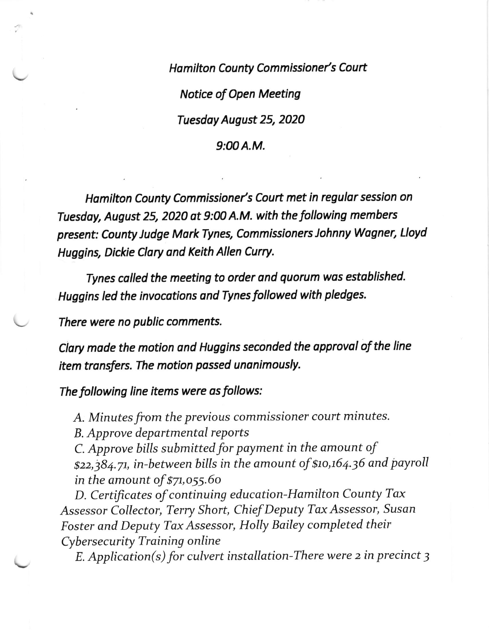Hamilton County Commissioner's Court Notice of Open Meeting Tuesdoy August 25, 2020  $9:00A.M.$ 

Hamilton County Commissioner's Court met in regular session on Tuesdoy, August 25, 2020 at 9:00 A.M. with the following members present: County Judge Mork Tynes, Commissioners Johnny Wagner, Lloyd Huggins, Dickie Clory ond Keith Allen Curry.

Tynes colled the meeting to order ond quorum wos established. Huggins led the invocations and Tynes followed with pledges.

There were no public comments.

Clary made the motion and Huggins seconded the approvol of the line item transfers. The motion passed unanimously.

The following line items were as follows:

A. Minutes from the previous commissioner court minutes.

B. Approve departmental reports

C. Approve bills submitted for payment in the amount of \$22,384.71, in-between bills in the amount of \$10,164.36 and payroll in the amount of \$7t,o55.6o

D. Certificates of continuing education-Hamilton County Tax Assessor Collector, Terry Short, Chief Deputy Tax Assessor, Susan Foster and Deputy Tax Assessor, Holly Bailey completed their Cybersecurity Training online

 $E.$  Application(s) for culvert installation-There were 2 in precinct 3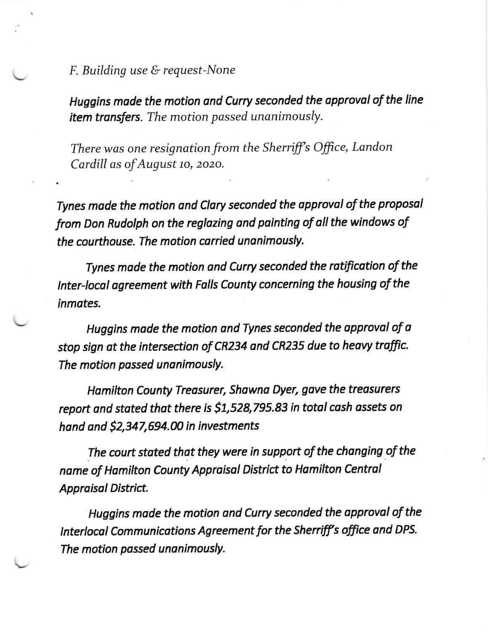F. Building use & request-None

Huggins made the motion and Curry seconded the approval of the line item transfers. The motion passed unanimously.

There was one resignation from the Sherriff's Office, Landon Cardill as of August 10, 2020.

Tynes made the motion and Clary seconded the approval of the proposal from Don Rudolph on the reglozing and pointing of all the windows of the courthouse. The motion carried unanimously.

Tynes mode the motion ond Curry seconded the rotificotion of the lnter-local ogreement with Falls County concerning the housing of the inmates.

Huggins made the motion and Tynes seconded the approval of a stop sign at the intersection of CR234 ond CR235 due to heovy troffic. The motion passed unanimously.

Hamilton County Treasurer, Shawna Dyer, gave the treasurers report and stated that there is \$1,528,795.83 in total cash assets on hand and  $$2,347,694.00$  in investments

The court stated that they were in support of the changing of the name of Hamilton County Appraisal District to Hamilton Central Appraisol District.

Huggins made the motion and Curry seconded the approval of the Interlocal Communications Agreement for the Sherriff's office and DPS. The motion passed unanimously.